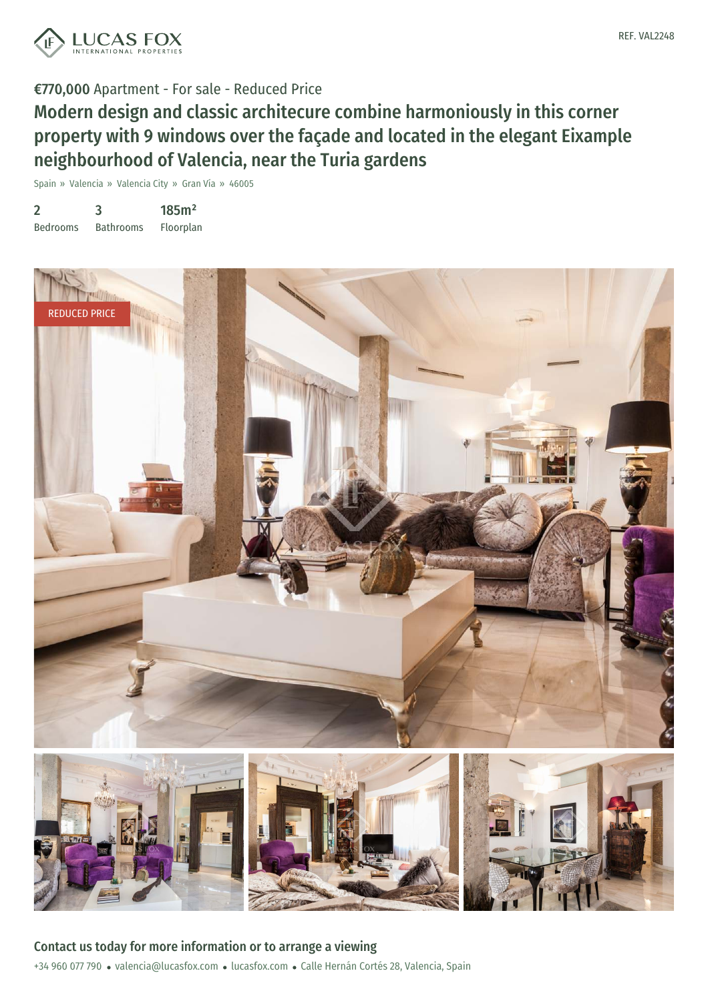



# Modern design and classic architecure combine harmoniously in this corner property with 9 windows over the façade and located in the elegant Eixample neighbourhood of Valencia, near the Turia gardens

Spain » Valencia » Valencia City » Gran Vía » 46005

| $\overline{2}$  | 3                | 185m <sup>2</sup> |
|-----------------|------------------|-------------------|
| <b>Bedrooms</b> | <b>Bathrooms</b> | Floorplan         |



+34 960 077 790 · valencia@lucasfox.com · lucasfox.com · Calle Hernán Cortés 28, Valencia, Spain Contact us today for more information or to arrange a viewing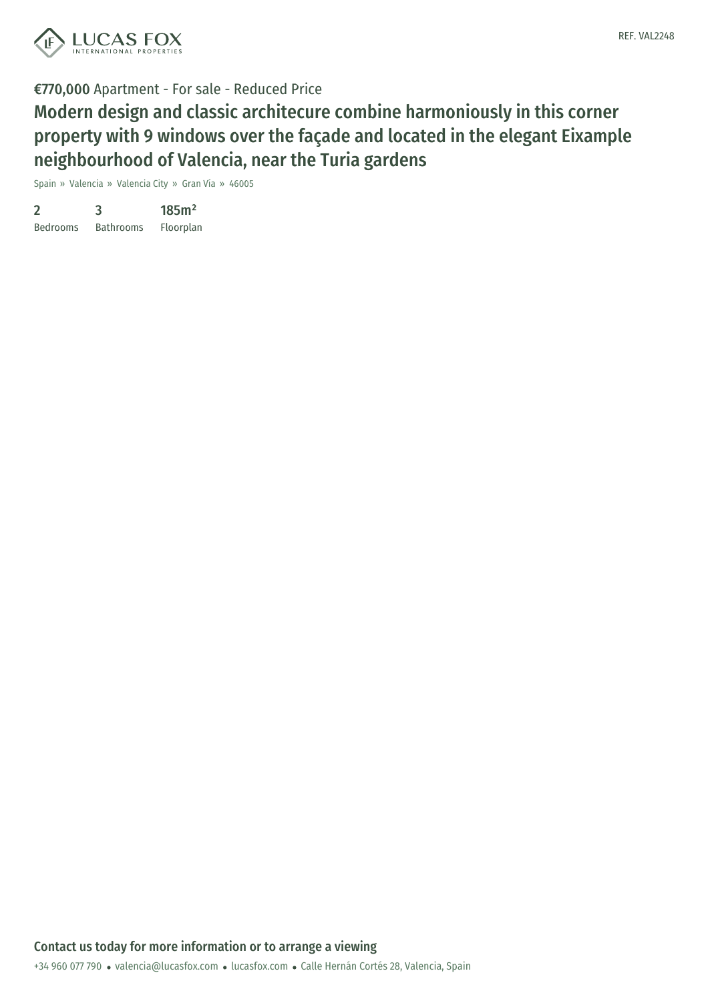

Modern design and classic architecure combine harmoniously in this corner property with 9 windows over the façade and located in the elegant Eixample neighbourhood of Valencia, near the Turia gardens

Spain » Valencia » Valencia City » Gran Vía » 46005

| 2               | 3                | 185m <sup>2</sup> |
|-----------------|------------------|-------------------|
| <b>Bedrooms</b> | <b>Bathrooms</b> | Floorplan         |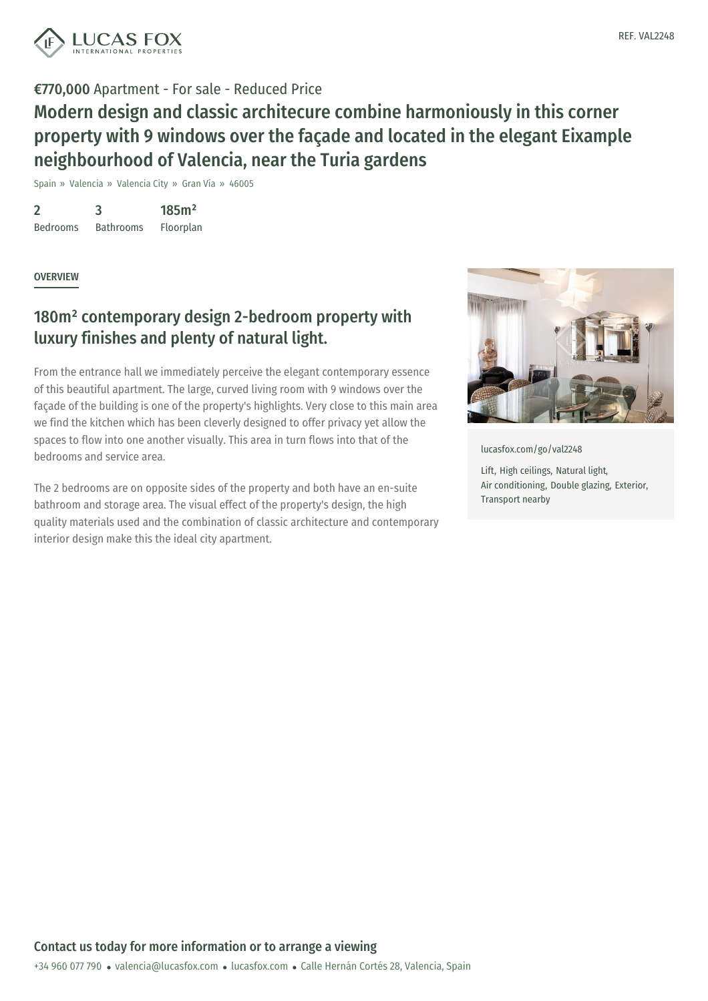

Modern design and classic architecure combine harmoniously in this corner property with 9 windows over the façade and located in the elegant Eixample neighbourhood of Valencia, near the Turia gardens

Spain » Valencia » Valencia City » Gran Vía » 46005

2 Bedrooms 3 Bathrooms 185m² Floorplan

**OVERVIEW** 

## 180m² contemporary design 2-bedroom property with luxury finishes and plenty of natural light.

From the entrance hall we immediately perceive the elegant contemporary essence of this beautiful apartment. The large, curved living room with 9 windows over the façade of the building is one of the property's highlights. Very close to this main area we find the kitchen which has been cleverly designed to offer privacy yet allow the spaces to flow into one another visually. This area in turn flows into that of the bedrooms and service area.

The 2 bedrooms are on opposite sides of the property and both have an en-suite bathroom and storage area. The visual effect of the property's design, the high quality materials used and the combination of classic architecture and contemporary interior design make this the ideal city apartment.



[lucasfox.com/go/val2248](https://www.lucasfox.com/go/val2248)

Lift, High ceilings, Natural light, Air conditioning, Double glazing, Exterior, Transport nearby